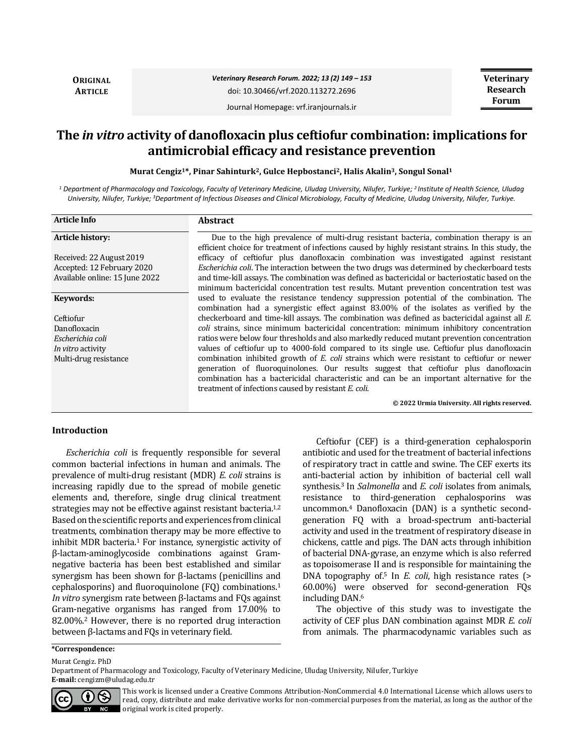**ORIGINAL ARTICLE**

*Veterinary Research Forum. 2022; 13 (2) 149 – 153* doi: 10.30466/vrf.2020.113272.2696

**Veterinary Research Forum**

Journal Homepage: vrf.iranjournals.ir

# **The** *in vitro* **activity of danofloxacin plus ceftiofur combination: implications for antimicrobial efficacy and resistance prevention**

**Murat Cengiz1\*, Pinar Sahinturk2, Gulce Hepbostanci2, Halis Akalin3, Songul Sonal<sup>1</sup>**

*<sup>1</sup> Department of Pharmacology and Toxicology, Faculty of Veterinary Medicine, Uludag University, Nilufer, Turkiye; <sup>2</sup> Institute of Health Science, Uludag University, Nilufer, Turkiye; <sup>3</sup>Department of Infectious Diseases and Clinical Microbiology, Faculty of Medicine, Uludag University, Nilufer, Turkiye.*

| <b>Article Info</b>            | <b>Abstract</b>                                                                                     |
|--------------------------------|-----------------------------------------------------------------------------------------------------|
| Article history:               | Due to the high prevalence of multi-drug resistant bacteria, combination therapy is an              |
|                                | efficient choice for treatment of infections caused by highly resistant strains. In this study, the |
| Received: 22 August 2019       | efficacy of ceftiofur plus danofloxacin combination was investigated against resistant              |
| Accepted: 12 February 2020     | <i>Escherichia coli.</i> The interaction between the two drugs was determined by checkerboard tests |
| Available online: 15 June 2022 | and time-kill assays. The combination was defined as bactericidal or bacteriostatic based on the    |
|                                | minimum bactericidal concentration test results. Mutant prevention concentration test was           |
| Keywords:                      | used to evaluate the resistance tendency suppression potential of the combination. The              |
|                                | combination had a synergistic effect against 83.00% of the isolates as verified by the              |
| Ceftiofur                      | checkerboard and time-kill assays. The combination was defined as bactericidal against all E.       |
| Danofloxacin                   | coli strains, since minimum bactericidal concentration: minimum inhibitory concentration            |
| Escherichia coli               | ratios were below four thresholds and also markedly reduced mutant prevention concentration         |
| In vitro activity              | values of ceftiofur up to 4000-fold compared to its single use. Ceftiofur plus danofloxacin         |
| Multi-drug resistance          | combination inhibited growth of <i>E. coli</i> strains which were resistant to ceftiofur or newer   |
|                                | generation of fluoroquinolones. Our results suggest that ceftiofur plus danofloxacin                |
|                                | combination has a bactericidal characteristic and can be an important alternative for the           |
|                                | treatment of infections caused by resistant E. coli.                                                |
|                                | © 2022 Urmia University. All rights reserved.                                                       |

#### **Introduction**

*Escherichia coli* is frequently responsible for several common bacterial infections in human and animals. The prevalence of multi-drug resistant (MDR) *E. coli* strains is increasing rapidly due to the spread of mobile genetic elements and, therefore, single drug clinical treatment strategies may not be effective against resistant bacteria.<sup>1,2</sup> Based on the scientific reports and experiences from clinical treatments, combination therapy may be more effective to inhibit MDR bacteria.<sup>1</sup> For instance, synergistic activity of β-lactam-aminoglycoside combinations against Gramnegative bacteria has been best established and similar synergism has been shown for β-lactams (penicillins and cephalosporins) and fluoroquinolone (FQ) combinations.<sup>1</sup> *In vitro* synergism rate between β-lactams and FQs against Gram-negative organisms has ranged from 17.00% to 82.00%.<sup>2</sup> However, there is no reported drug interaction between β-lactams and FQs in veterinary field.

Ceftiofur (CEF) is a third-generation cephalosporin antibiotic and used for the treatment of bacterial infections of respiratory tract in cattle and swine. The CEF exerts its anti-bacterial action by inhibition of bacterial cell wall synthesis.<sup>3</sup> In *Salmonella* and *E. coli* isolates from animals, resistance to third-generation cephalosporins was uncommon.<sup>4</sup> Danofloxacin (DAN) is a synthetic secondgeneration FQ with a broad-spectrum anti-bacterial activity and used in the treatment of respiratory disease in chickens, cattle and pigs. The DAN acts through inhibition of bacterial DNA-gyrase, an enzyme which is also referred as topoisomerase II and is responsible for maintaining the DNA topography of.<sup>5</sup> In *E. coli*, high resistance rates (> 60.00%) were observed for second-generation FQs including DAN.<sup>6</sup>

The objective of this study was to investigate the activity of CEF plus DAN combination against MDR *E. coli* from animals. The pharmacodynamic variables such as

#### **\*Correspondence:**

Murat Cengiz. PhD

Department of Pharmacology and Toxicology, Faculty of Veterinary Medicine, Uludag University, Nilufer, Turkiye **E-mail:** cengizm@uludag.edu.tr



This work is licensed under a [Creative Commons Attribution-NonCommercial 4.0 International License](http://creativecommons.org/licenses/by-nc/4.0/) which allows users to read, copy, distribute and make derivative works for non-commercial purposes from the material, as long as the author of the original work is cited properly.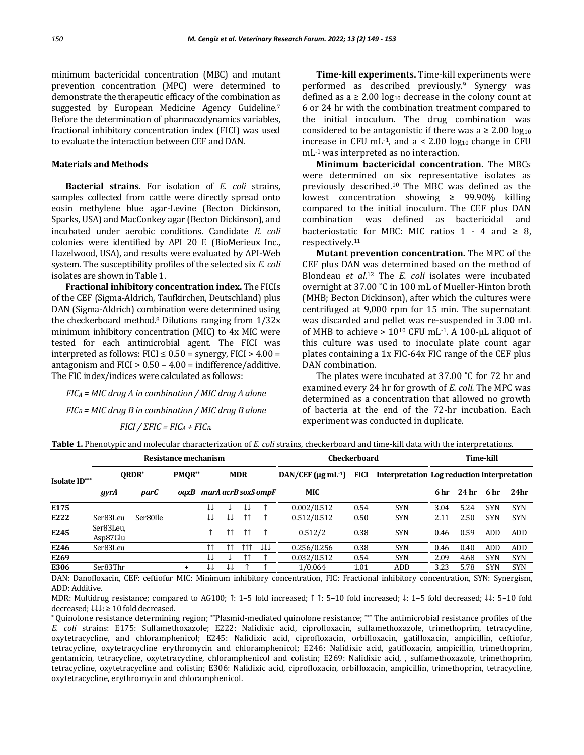minimum bactericidal concentration (MBC) and mutant prevention concentration (MPC) were determined to demonstrate the therapeutic efficacy of the combination as suggested by European Medicine Agency Guideline.<sup>7</sup> Before the determination of pharmacodynamics variables, fractional inhibitory concentration index (FICI) was used to evaluate the interaction between CEF and DAN.

## **Materials and Methods**

**Bacterial strains.** For isolation of *E. coli* strains, samples collected from cattle were directly spread onto eosin methylene blue agar-Levine (Becton Dickinson, Sparks, USA) and MacConkey agar (Becton Dickinson), and incubated under aerobic conditions. Candidate *E. coli* colonies were identified by API 20 E (BioMerieux Inc., Hazelwood, USA), and results were evaluated by API-Web system. The susceptibility profiles of the selected six *E. coli*  isolates are shown in Table 1.

**Fractional inhibitory concentration index.** The FICIs of the CEF (Sigma-Aldrich, Taufkirchen, Deutschland) plus DAN (Sigma-Aldrich) combination were determined using the checkerboard method.<sup>8</sup> Dilutions ranging from 1/32x minimum inhibitory concentration (MIC) to 4x MIC were tested for each antimicrobial agent. The FICI was interpreted as follows: FICI  $\leq$  0.50 = synergy, FICI  $>$  4.00 = antagonism and  $FICI > 0.50 - 4.00 = \text{indifference}/\text{additive}$ . The FIC index/indices were calculated as follows:

*FIC<sup>A</sup> = MIC drug A in combination / MIC drug A alone FIC<sup>B</sup> = MIC drug B in combination / MIC drug B alone FICI* / *ΣFIC* =  $FIC$ *A* +  $FIC$ *B*.

**Time-kill experiments.** Time-kill experiments were performed as described previously.<sup>9</sup> Synergy was defined as  $a \ge 2.00 \log_{10}$  decrease in the colony count at 6 or 24 hr with the combination treatment compared to the initial inoculum. The drug combination was considered to be antagonistic if there was a  $\geq 2.00 \log_{10}$ increase in CFU mL $^{-1}$ , and a < 2.00 log<sub>10</sub> change in CFU mL-1 was interpreted as no interaction.

**Minimum bactericidal concentration.** The MBCs were determined on six representative isolates as previously described.10 The MBC was defined as the lowest concentration showing ≥ 99.90% killing compared to the initial inoculum. The CEF plus DAN combination was defined as bactericidal and bacteriostatic for MBC: MIC ratios  $1 - 4$  and  $\geq 8$ , respectively.<sup>11</sup>

**Mutant prevention concentration.** The MPC of the CEF plus DAN was determined based on the method of Blondeau *et al*. <sup>12</sup> The *E. coli* isolates were incubated overnight at 37.00 ˚C in 100 mL of Mueller-Hinton broth (MHB; Becton Dickinson), after which the cultures were centrifuged at 9,000 rpm for 15 min. The supernatant was discarded and pellet was re-suspended in 3.00 mL of MHB to achieve  $> 10^{10}$  CFU mL $^{-1}$ . A 100-µL aliquot of this culture was used to inoculate plate count agar plates containing a 1x FIC-64x FIC range of the CEF plus DAN combination.

The plates were incubated at 37.00 °C for 72 hr and examined every 24 hr for growth of *E. coli.* The MPC was determined as a concentration that allowed no growth of bacteria at the end of the 72-hr incubation. Each experiment was conducted in duplicate.

**Table 1.** Phenotypic and molecular characterization of *E. coli* strains, checkerboard and time-kill data with the interpretations.

|               |                       |          | Resistance mechanism        |    |            |                    |     | <b>Checkerboard</b>                    | Time-kill   |            |                                             |                  |            |            |
|---------------|-----------------------|----------|-----------------------------|----|------------|--------------------|-----|----------------------------------------|-------------|------------|---------------------------------------------|------------------|------------|------------|
| Isolate ID*** | ORDR <sup>*</sup>     |          | PMOR**                      |    | <b>MDR</b> |                    |     | $DAN/CEF$ ( $\mu$ g mL <sup>-1</sup> ) | <b>FICI</b> |            | Interpretation Log reduction Interpretation |                  |            |            |
|               | parC<br>gyrA          |          | marA acrB soxS ompF<br>oaxB |    |            | MIC                |     |                                        | 6 hr        | 24 hr      | 6 hr                                        | 24 <sub>hr</sub> |            |            |
| E175          |                       |          |                             | ↓↓ |            | ↓↓                 |     | 0.002/0.512                            | 0.54        | <b>SYN</b> | 3.04                                        | 5.24             | <b>SYN</b> | <b>SYN</b> |
| E222          | Ser83Leu              | Ser80Ile |                             | ₩  | ₩          | 11                 |     | 0.512/0.512                            | 0.50        | <b>SYN</b> | 2.11                                        | 2.50             | <b>SYN</b> | <b>SYN</b> |
| E245          | Ser83Leu,<br>Asp87Glu |          |                             |    | ↑↑         | $\uparrow\uparrow$ |     | 0.512/2                                | 0.38        | <b>SYN</b> | 0.46                                        | 0.59             | <b>ADD</b> | ADD        |
| E246          | Ser83Leu              |          |                             | ተተ |            | 111                | ΤTΤ | 0.256/0.256                            | 0.38        | <b>SYN</b> | 0.46                                        | 0.40             | <b>ADD</b> | ADD        |
| E269          |                       |          |                             | ₩  |            | 11                 |     | 0.032/0.512                            | 0.54        | <b>SYN</b> | 2.09                                        | 4.68             | <b>SYN</b> | <b>SYN</b> |
| E306          | Ser83Thr              |          | $\ddot{}$                   | ₩  | ⇊          |                    |     | 1/0.064                                | 1.01        | ADD        | 3.23                                        | 5.78             | <b>SYN</b> | <b>SYN</b> |

DAN: Danofloxacin, CEF: ceftiofur MIC: Minimum inhibitory concentration, FIC: Fractional inhibitory concentration, SYN: Synergism, ADD: Additive.

MDR: Multidrug resistance; compared to AG100; ↑: 1–5 fold increased; ↑ ↑: 5–10 fold increased; ↓: 1–5 fold decreased; ↓↓: 5–10 fold decreased; ↓↓↓: ≥ 10 fold decreased.

\* Quinolone resistance determining region; \*\*Plasmid-mediated quinolone resistance; \*\*\* The antimicrobial resistance profiles of the *E. coli* strains: E175: Sulfamethoxazole; E222: Nalidixic acid, ciprofloxacin, sulfamethoxazole, trimethoprim, tetracycline, oxytetracycline, and chloramphenicol; E245: Nalidixic acid, ciprofloxacin, orbifloxacin, gatifloxacin, ampicillin, ceftiofur, tetracycline, oxytetracycline erythromycin and chloramphenicol; E246: Nalidixic acid, gatifloxacin, ampicillin, trimethoprim, gentamicin, tetracycline, oxytetracycline, chloramphenicol and colistin; E269: Nalidixic acid, , sulfamethoxazole, trimethoprim, tetracycline, oxytetracycline and colistin; E306: Nalidixic acid, ciprofloxacin, orbifloxacin, ampicillin, trimethoprim, tetracycline, oxytetracycline, erythromycin and chloramphenicol.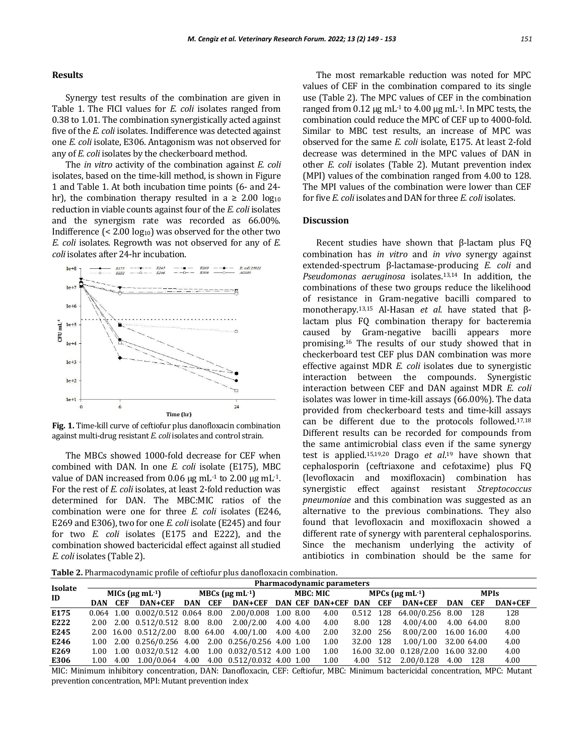#### **Results**

Synergy test results of the combination are given in Table 1. The FICI values for *E. coli* isolates ranged from 0.38 to 1.01. The combination synergistically acted against five of the *E. coli* isolates. Indifference was detected against one *E. coli* isolate, E306. Antagonism was not observed for any of *E. coli* isolates by the checkerboard method.

The *in vitro* activity of the combination against *E. coli* isolates, based on the time-kill method, is shown in Figure 1 and Table 1. At both incubation time points (6- and 24 hr), the combination therapy resulted in a  $\geq 2.00 \log_{10}$ reduction in viable counts against four of the *E. coli* isolates and the synergism rate was recorded as 66.00%. Indifference  $\left($  < 2.00 log<sub>10</sub>) was observed for the other two *E. coli* isolates. Regrowth was not observed for any of *E. coli* isolates after 24-hr incubation.



**Fig. 1.** Time-kill curve of ceftiofur plus danofloxacin combination against multi-drug resistant *E. coli* isolates and control strain.

The MBCs showed 1000-fold decrease for CEF when combined with DAN. In one *E. coli* isolate (E175), MBC value of DAN increased from 0.06 μg mL $-1$  to 2.00 μg mL $-1$ . For the rest of *E. coli* isolates, at least 2-fold reduction was determined for DAN. The MBC:MIC ratios of the combination were one for three *E. coli* isolates (E246, E269 and E306), two for one *E. coli* isolate (E245) and four for two *E. coli* isolates (E175 and E222), and the combination showed bactericidal effect against all studied *E. coli* isolates (Table 2).

The most remarkable reduction was noted for MPC values of CEF in the combination compared to its single use (Table 2). The MPC values of CEF in the combination ranged from  $0.12 \mu g$  mL<sup>-1</sup> to  $4.00 \mu g$  mL<sup>-1</sup>. In MPC tests, the combination could reduce the MPC of CEF up to 4000-fold. Similar to MBC test results, an increase of MPC was observed for the same *E. coli* isolate, E175. At least 2-fold decrease was determined in the MPC values of DAN in other *E. coli* isolates (Table 2). Mutant prevention index (MPI) values of the combination ranged from 4.00 to 128. The MPI values of the combination were lower than CEF for five *E. coli* isolates and DAN for three *E. coli* isolates.

#### **Discussion**

Recent studies have shown that β-lactam plus FQ combination has *in vitro* and *in vivo* synergy against extended-spectrum β-lactamase-producing *E. coli* and *Pseudomonas aeruginosa* isolates.13,14 In addition, the combinations of these two groups reduce the likelihood of resistance in Gram-negative bacilli compared to monotherapy.13,15 Al-Hasan *et al*. have stated that βlactam plus FQ combination therapy for bacteremia caused by Gram-negative bacilli appears more promising.<sup>16</sup> The results of our study showed that in checkerboard test CEF plus DAN combination was more effective against MDR *E. coli* isolates due to synergistic interaction between the compounds. Synergistic interaction between CEF and DAN against MDR *E. coli* isolates was lower in time-kill assays (66.00%). The data provided from checkerboard tests and time-kill assays can be different due to the protocols followed.17,18 Different results can be recorded for compounds from the same antimicrobial class even if the same synergy test is applied.15,19,20 Drago *et al*. <sup>19</sup> have shown that cephalosporin (ceftriaxone and cefotaxime) plus FQ (levofloxacin and moxifloxacin) combination has synergistic effect against resistant *Streptococcus pneumoniae* and this combination was suggested as an alternative to the previous combinations. They also found that levofloxacin and moxifloxacin showed a different rate of synergy with parenteral cephalosporins. Since the mechanism underlying the activity of antibiotics in combination should be the same for

**Table 2.** Pharmacodynamic profile of ceftiofur plus danofloxacin combination.

| <b>Isolate</b><br>ID |                             | Pharmacodynamic parameters |                                                                                                |                                            |  |  |  |  |      |                                     |  |                                                 |             |  |         |
|----------------------|-----------------------------|----------------------------|------------------------------------------------------------------------------------------------|--------------------------------------------|--|--|--|--|------|-------------------------------------|--|-------------------------------------------------|-------------|--|---------|
|                      | MICs ( $\mu$ g mL $^{-1}$ ) |                            |                                                                                                | MBCs $(\mu \rho \text{ mL}^{-1})$ MBC: MIC |  |  |  |  |      | MPCs $(\mu\mathbf{g} \text{ mL-1})$ |  |                                                 | <b>MPIs</b> |  |         |
|                      |                             |                            | DAN CEF DAN+CEF                                                                                |                                            |  |  |  |  |      |                                     |  | DAN CEF DAN+CEF DAN CEF DAN+CEF DAN CEF DAN+CEF | DAN CEF     |  | DAN+CEF |
| E175                 |                             |                            | $0.064$ 1.00 $0.002/0.512$ 0.064 8.00 2.00/0.008 1.00 8.00 4.00 0.512 128 64.00/0.256 8.00 128 |                                            |  |  |  |  |      |                                     |  |                                                 |             |  | 128     |
| E222                 |                             |                            | 2.00 2.00 0.512/0.512 8.00 8.00 2.00/2.00 4.00 4.00 4.00 8.00 128 4.00/4.00 4.00 64.00         |                                            |  |  |  |  |      |                                     |  |                                                 |             |  | 8.00    |
| E245                 |                             |                            | 2.00 16.00 0.512/2.00 8.00 64.00 4.00/1.00 4.00 4.00                                           |                                            |  |  |  |  | 2.00 |                                     |  | 32.00 256 8.00/2.00 16.00 16.00                 |             |  | 4.00    |
| E246                 |                             |                            | 1.00 2.00 0.256/0.256 4.00 2.00 0.256/0.256 4.00 1.00                                          |                                            |  |  |  |  | 1.00 |                                     |  | 32.00 128 1.00/1.00 32.00 64.00                 |             |  | 4.00    |
| E269                 |                             |                            | 1.00 1.00 0.032/0.512 4.00 1.00 0.032/0.512 4.00 1.00                                          |                                            |  |  |  |  | 1.00 |                                     |  | 16.00 32.00 0.128/2.00 16.00 32.00              |             |  | 4.00    |
| E306                 |                             |                            | 1.00 4.00 1.00/0.064 4.00 4.00 0.512/0.032 4.00 1.00                                           |                                            |  |  |  |  | 1.00 |                                     |  | 4.00 512 2.00/0.128 4.00 128                    |             |  | 4.00    |

MIC: Minimum inhibitory concentration, DAN: Danofloxacin, CEF: Ceftiofur, MBC: Minimum bactericidal concentration, MPC: Mutant prevention concentration, MPI: Mutant prevention index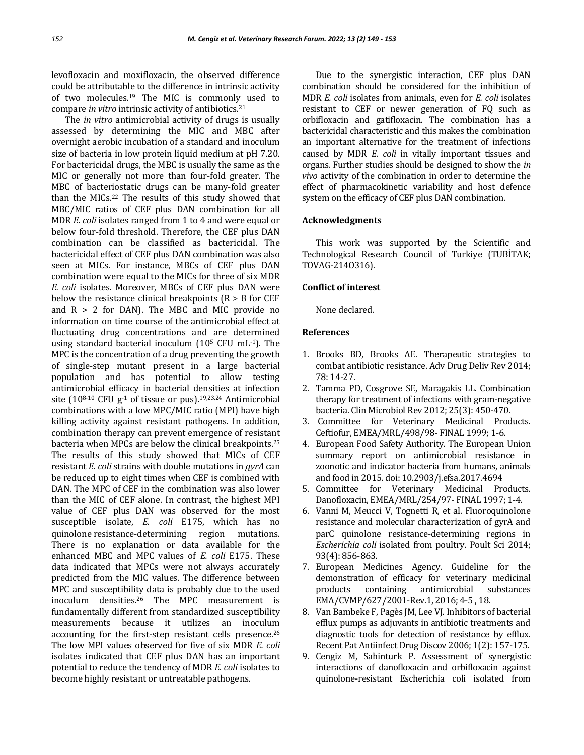levofloxacin and moxifloxacin, the observed difference could be attributable to the difference in intrinsic activity of two molecules.<sup>19</sup> The MIC is commonly used to compare *in vitro* intrinsic activity of antibiotics.<sup>21</sup>

The *in vitro* antimicrobial activity of drugs is usually assessed by determining the MIC and MBC after overnight aerobic incubation of a standard and inoculum size of bacteria in low protein liquid medium at pH 7.20. For bactericidal drugs, the MBC is usually the same as the MIC or generally not more than four-fold greater. The MBC of bacteriostatic drugs can be many-fold greater than the MICs.<sup>22</sup> The results of this study showed that MBC/MIC ratios of CEF plus DAN combination for all MDR *E. coli* isolates ranged from 1 to 4 and were equal or below four-fold threshold. Therefore, the CEF plus DAN combination can be classified as bactericidal. The bactericidal effect of CEF plus DAN combination was also seen at MICs. For instance, MBCs of CEF plus DAN combination were equal to the MICs for three of six MDR *E. coli* isolates. Moreover, MBCs of CEF plus DAN were below the resistance clinical breakpoints  $(R > 8$  for CEF and  $R > 2$  for DAN). The MBC and MIC provide no information on time course of the antimicrobial effect at fluctuating drug concentrations and are determined using standard bacterial inoculum  $(10^5 \text{ CFU mL-1})$ . The MPC is the concentration of a drug preventing the growth of single-step mutant present in a large bacterial population and has potential to allow testing antimicrobial efficacy in bacterial densities at infection site (10<sup>8-10</sup> CFU g<sup>-1</sup> of tissue or pus).<sup>19,23,24</sup> Antimicrobial combinations with a low MPC/MIC ratio (MPI) have high killing activity against resistant pathogens. In addition, combination therapy can prevent emergence of resistant bacteria when MPCs are below the clinical breakpoints.<sup>25</sup> The results of this study showed that MICs of CEF resistant *E. coli* strains with double mutations in *gyrA* can be reduced up to eight times when CEF is combined with DAN. The MPC of CEF in the combination was also lower than the MIC of CEF alone. In contrast, the highest MPI value of CEF plus DAN was observed for the most susceptible isolate, *E. coli* E175, which has no quinolone resistance-determining region mutations. There is no explanation or data available for the enhanced MBC and MPC values of *E. coli* E175. These data indicated that MPCs were not always accurately predicted from the MIC values. The difference between MPC and susceptibility data is probably due to the used inoculum densities.<sup>26</sup> The MPC measurement is fundamentally different from standardized susceptibility measurements because it utilizes an inoculum accounting for the first-step resistant cells presence.<sup>26</sup> The low MPI values observed for five of six MDR *E. coli* isolates indicated that CEF plus DAN has an important potential to reduce the tendency of MDR *E. coli* isolates to become highly resistant or untreatable pathogens.

Due to the synergistic interaction, CEF plus DAN combination should be considered for the inhibition of MDR *E. coli* isolates from animals, even for *E. coli* isolates resistant to CEF or newer generation of FQ such as orbifloxacin and gatifloxacin. The combination has a bactericidal characteristic and this makes the combination an important alternative for the treatment of infections caused by MDR *E. coli* in vitally important tissues and organs. Further studies should be designed to show the *in vivo* activity of the combination in order to determine the effect of pharmacokinetic variability and host defence system on the efficacy of CEF plus DAN combination.

## **Acknowledgments**

This work was supported by the Scientific and Technological Research Council of Turkiye (TUBİTAK; TOVAG-214O316).

## **Conflict of interest**

None declared.

#### **References**

- 1. Brooks BD, Brooks AE. Therapeutic strategies to combat antibiotic resistance. Adv Drug Deliv Rev 2014; 78: 14-27.
- 2. Tamma PD, Cosgrove SE, Maragakis LL. Combination therapy for treatment of infections with gram-negative bacteria. Clin Microbiol Rev 2012; 25(3): 450-470.
- 3. Committee for Veterinary Medicinal Products. Ceftiofur, EMEA/MRL/498/98- FINAL 1999; 1-6.
- 4. European Food Safety Authority. The European Union summary report on antimicrobial resistance in zoonotic and indicator bacteria from humans, animals and food in 2015. doi: 10.2903/j.efsa.2017.4694
- 5. Committee for Veterinary Medicinal Products. Danofloxacin, EMEA/MRL/254/97- FINAL 1997; 1-4.
- 6. Vanni M, Meucci V, Tognetti R, et al. Fluoroquinolone resistance and molecular characterization of gyrA and parC quinolone resistance-determining regions in *Escherichia coli* isolated from poultry. Poult Sci 2014; 93(4): 856-863.
- 7. European Medicines Agency. Guideline for the demonstration of efficacy for veterinary medicinal products containing antimicrobial substances EMA/CVMP/627/2001-Rev.1, 2016; 4-5 , 18.
- 8. Van Bambeke F, Pagès JM, Lee VJ. Inhibitors of bacterial efflux pumps as adjuvants in antibiotic treatments and diagnostic tools for detection of resistance by efflux. Recent Pat Antiinfect Drug Discov 2006; 1(2): 157-175.
- 9. Cengiz M, Sahinturk P. Assessment of synergistic interactions of danofloxacin and orbifloxacin against quinolone-resistant Escherichia coli isolated from